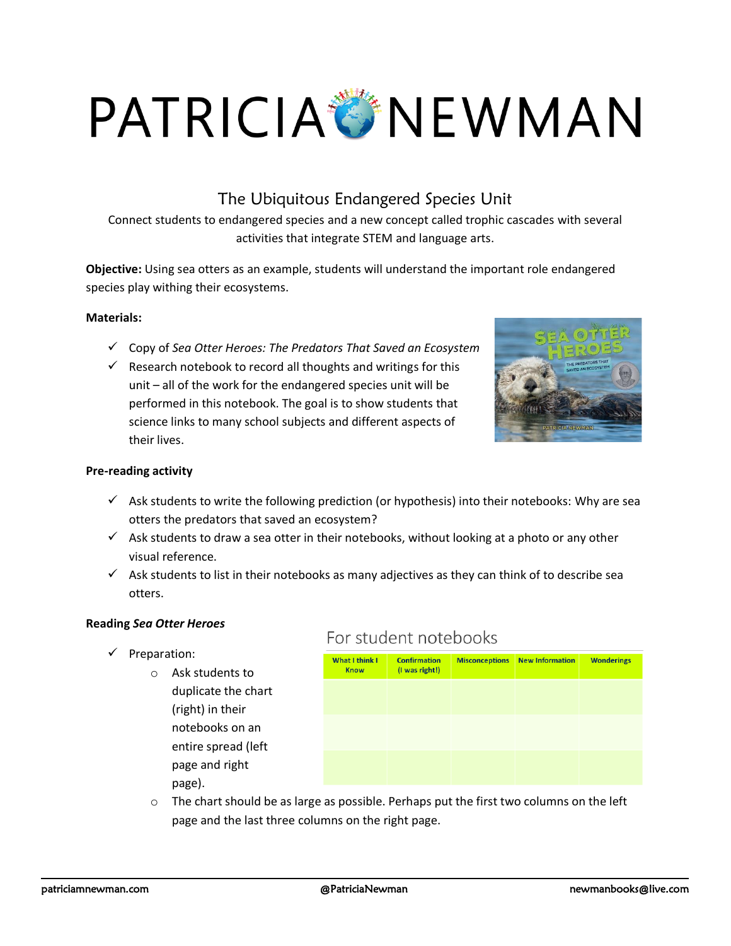# PATRICIA NEWMAN

## The Ubiquitous Endangered Species Unit

Connect students to endangered species and a new concept called trophic cascades with several activities that integrate STEM and language arts.

**Objective:** Using sea otters as an example, students will understand the important role endangered species play withing their ecosystems.

#### **Materials:**

- ✓ Copy of *Sea Otter Heroes: The Predators That Saved an Ecosystem*
- $\checkmark$  Research notebook to record all thoughts and writings for this unit – all of the work for the endangered species unit will be performed in this notebook. The goal is to show students that science links to many school subjects and different aspects of their lives.



#### **Pre-reading activity**

- $\checkmark$  Ask students to write the following prediction (or hypothesis) into their notebooks: Why are sea otters the predators that saved an ecosystem?
- $\checkmark$  Ask students to draw a sea otter in their notebooks, without looking at a photo or any other visual reference.
- $\checkmark$  Ask students to list in their notebooks as many adjectives as they can think of to describe sea otters.

#### **Reading** *Sea Otter Heroes*

- ✓ Preparation:
	- o Ask students to duplicate the chart (right) in their notebooks on an entire spread (left page and right page).

### For student notebooks

| <b>What I think I</b><br><b>Know</b> | <b>Confirmation</b><br>(I was right!) | <b>Misconceptions</b> | New Information | <b>Wonderings</b> |
|--------------------------------------|---------------------------------------|-----------------------|-----------------|-------------------|
|                                      |                                       |                       |                 |                   |
|                                      |                                       |                       |                 |                   |
|                                      |                                       |                       |                 |                   |
|                                      |                                       |                       |                 |                   |
|                                      |                                       |                       |                 |                   |

 $\circ$  The chart should be as large as possible. Perhaps put the first two columns on the left page and the last three columns on the right page.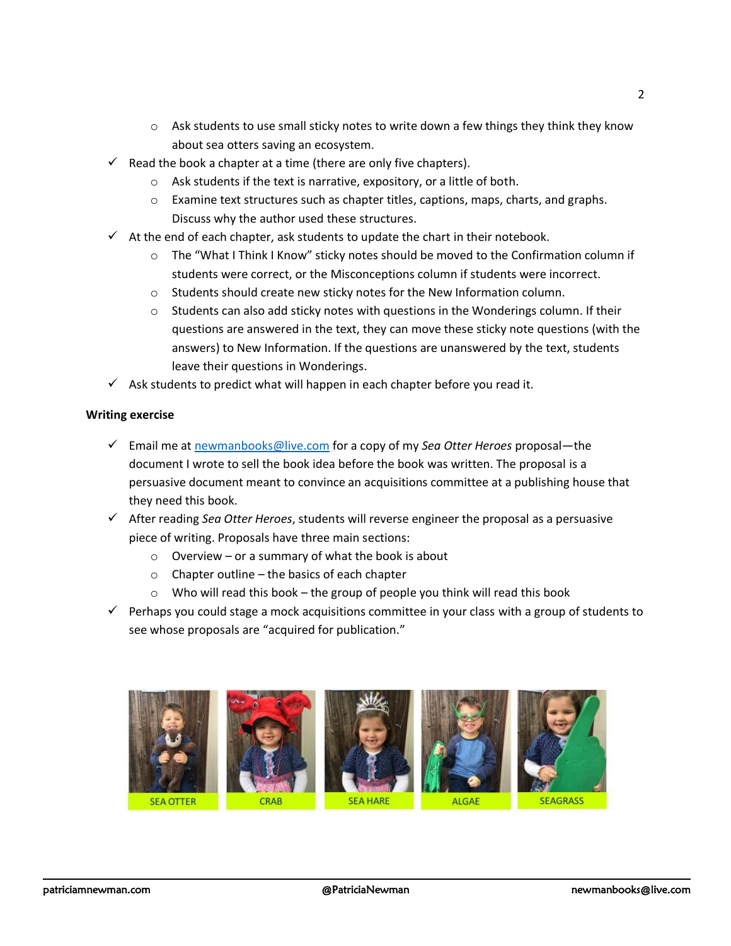- $\circ$  Ask students to use small sticky notes to write down a few things they think they know about sea otters saving an ecosystem.
- $\checkmark$  Read the book a chapter at a time (there are only five chapters).
	- o Ask students if the text is narrative, expository, or a little of both.
	- $\circ$  Examine text structures such as chapter titles, captions, maps, charts, and graphs. Discuss why the author used these structures.
- $\checkmark$  At the end of each chapter, ask students to update the chart in their notebook.
	- $\circ$  The "What I Think I Know" sticky notes should be moved to the Confirmation column if students were correct, or the Misconceptions column if students were incorrect.
	- o Students should create new sticky notes for the New Information column.
	- $\circ$  Students can also add sticky notes with questions in the Wonderings column. If their questions are answered in the text, they can move these sticky note questions (with the answers) to New Information. If the questions are unanswered by the text, students leave their questions in Wonderings.
- $\checkmark$  Ask students to predict what will happen in each chapter before you read it.

#### **Writing exercise**

- ✓ Email me at [newmanbooks@live.com](mailto:newmanbooks@live.com) for a copy of my *Sea Otter Heroes* proposal—the document I wrote to sell the book idea before the book was written. The proposal is a persuasive document meant to convince an acquisitions committee at a publishing house that they need this book.
- ✓ After reading *Sea Otter Heroes*, students will reverse engineer the proposal as a persuasive piece of writing. Proposals have three main sections:
	- $\circ$  Overview or a summary of what the book is about
	- o Chapter outline the basics of each chapter
	- $\circ$  Who will read this book the group of people you think will read this book
- $\checkmark$  Perhaps you could stage a mock acquisitions committee in your class with a group of students to see whose proposals are "acquired for publication."

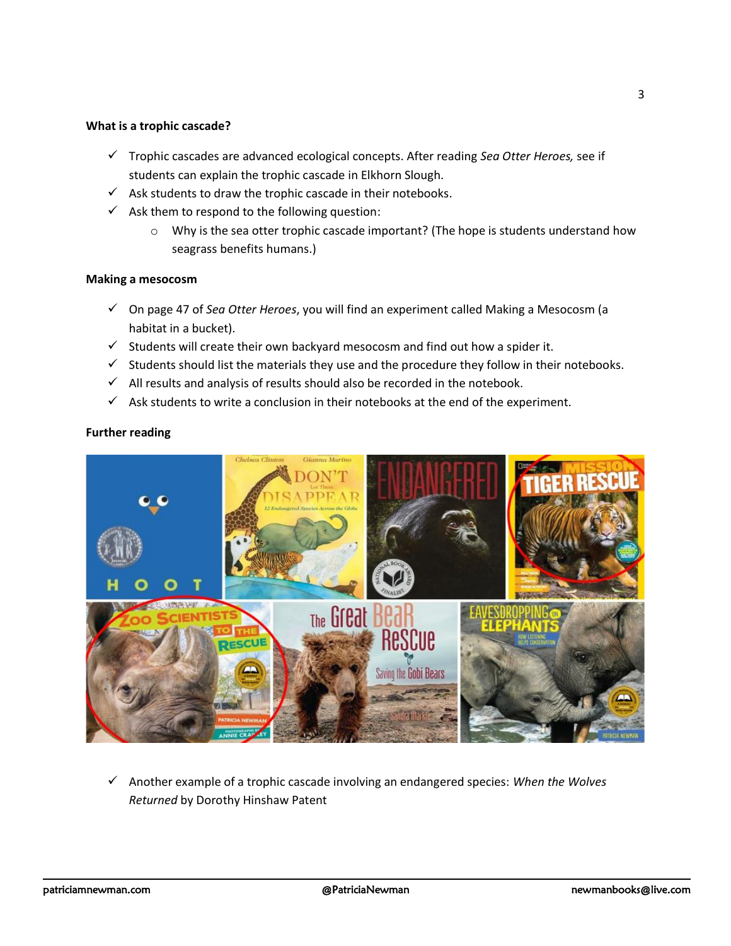#### **What is a trophic cascade?**

- ✓ Trophic cascades are advanced ecological concepts. After reading *Sea Otter Heroes,* see if students can explain the trophic cascade in Elkhorn Slough.
- $\checkmark$  Ask students to draw the trophic cascade in their notebooks.
- $\checkmark$  Ask them to respond to the following question:
	- o Why is the sea otter trophic cascade important? (The hope is students understand how seagrass benefits humans.)

#### **Making a mesocosm**

- ✓ On page 47 of *Sea Otter Heroes*, you will find an experiment called Making a Mesocosm (a habitat in a bucket).
- $\checkmark$  Students will create their own backyard mesocosm and find out how a spider it.
- ✓ Students should list the materials they use and the procedure they follow in their notebooks.
- $\checkmark$  All results and analysis of results should also be recorded in the notebook.
- $\checkmark$  Ask students to write a conclusion in their notebooks at the end of the experiment.



#### **Further reading**

✓ Another example of a trophic cascade involving an endangered species: *When the Wolves Returned* by Dorothy Hinshaw Patent